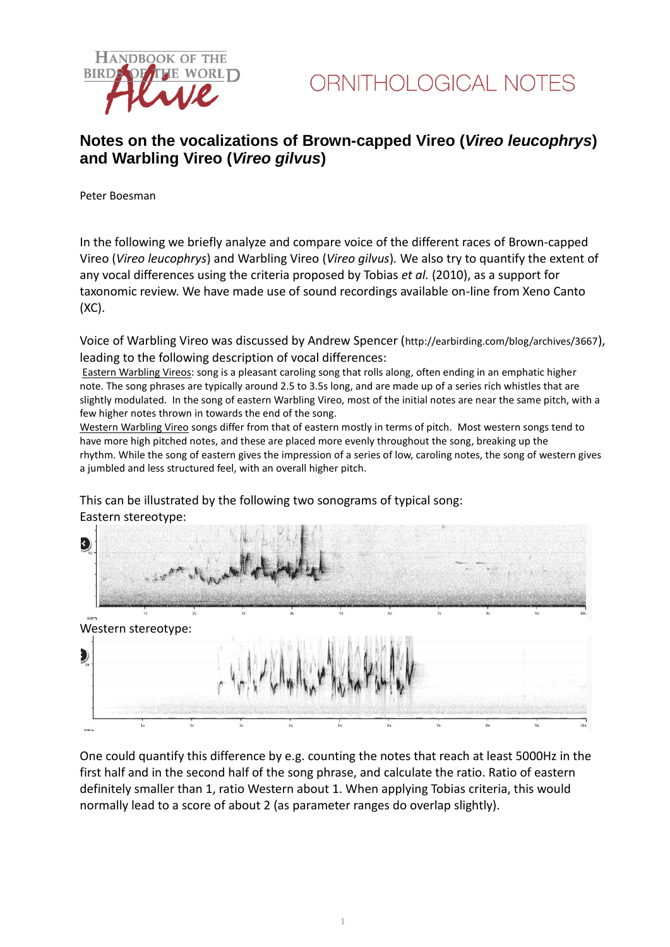



### **Notes on the vocalizations of Brown-capped Vireo (***Vireo leucophrys***) and Warbling Vireo (***Vireo gilvus***)**

Peter Boesman

In the following we briefly analyze and compare voice of the different races of Brown-capped Vireo (*Vireo leucophrys*) and Warbling Vireo (*Vireo gilvus*)*.* We also try to quantify the extent of any vocal differences using the criteria proposed by Tobias *et al.* (2010), as a support for taxonomic review. We have made use of sound recordings available on-line from Xeno Canto (XC).

Voice of Warbling Vireo was discussed by Andrew Spencer (http://earbirding.com/blog/archives/3667), leading to the following description of vocal differences:

Eastern Warbling Vireos: song is a pleasant caroling song that rolls along, often ending in an emphatic higher note. The song phrases are typically around 2.5 to 3.5s long, and are made up of a series rich whistles that are slightly modulated. In the song of eastern Warbling Vireo, most of the initial notes are near the same pitch, with a few higher notes thrown in towards the end of the song.

Western Warbling Vireo songs differ from that of eastern mostly in terms of pitch. Most western songs tend to have more high pitched notes, and these are placed more evenly throughout the song, breaking up the rhythm. While the song of eastern gives the impression of a series of low, caroling notes, the song of western gives a jumbled and less structured feel, with an overall higher pitch.

This can be illustrated by the following two sonograms of typical song: Eastern stereotype:



One could quantify this difference by e.g. counting the notes that reach at least 5000Hz in the first half and in the second half of the song phrase, and calculate the ratio. Ratio of eastern definitely smaller than 1, ratio Western about 1. When applying Tobias criteria, this would normally lead to a score of about 2 (as parameter ranges do overlap slightly).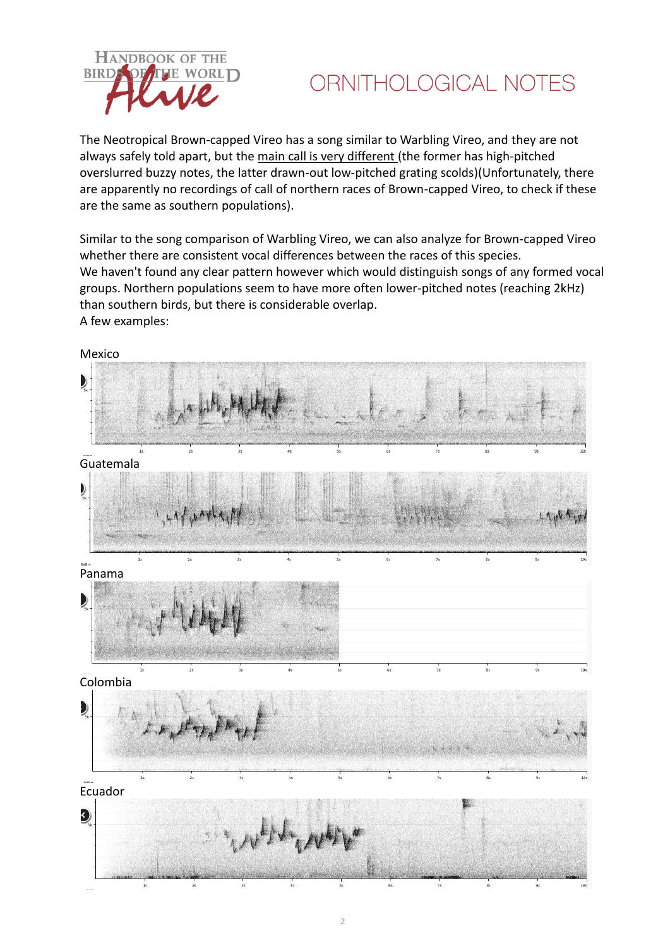

# ORNITHOLOGICAL NOTES

The Neotropical Brown-capped Vireo has a song similar to Warbling Vireo, and they are not always safely told apart, but the main call is very different (the former has high-pitched overslurred buzzy notes, the latter drawn-out low-pitched grating scolds)(Unfortunately, there are apparently no recordings of call of northern races of Brown-capped Vireo, to check if these are the same as southern populations).

Similar to the song comparison of Warbling Vireo, we can also analyze for Brown-capped Vireo whether there are consistent vocal differences between the races of this species. We haven't found any clear pattern however which would distinguish songs of any formed vocal groups. Northern populations seem to have more often lower-pitched notes (reaching 2kHz) than southern birds, but there is considerable overlap. A few examples:



Mexico